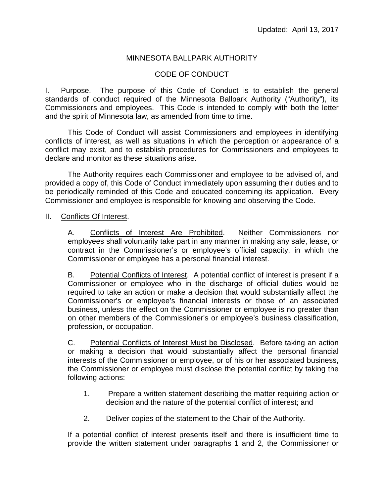## MINNESOTA BALLPARK AUTHORITY

## CODE OF CONDUCT

I. Purpose. The purpose of this Code of Conduct is to establish the general standards of conduct required of the Minnesota Ballpark Authority ("Authority"), its Commissioners and employees. This Code is intended to comply with both the letter and the spirit of Minnesota law, as amended from time to time.

This Code of Conduct will assist Commissioners and employees in identifying conflicts of interest, as well as situations in which the perception or appearance of a conflict may exist, and to establish procedures for Commissioners and employees to declare and monitor as these situations arise.

The Authority requires each Commissioner and employee to be advised of, and provided a copy of, this Code of Conduct immediately upon assuming their duties and to be periodically reminded of this Code and educated concerning its application. Every Commissioner and employee is responsible for knowing and observing the Code.

#### II. Conflicts Of Interest.

A. Conflicts of Interest Are Prohibited. Neither Commissioners nor employees shall voluntarily take part in any manner in making any sale, lease, or contract in the Commissioner's or employee's official capacity, in which the Commissioner or employee has a personal financial interest.

B. Potential Conflicts of Interest. A potential conflict of interest is present if a Commissioner or employee who in the discharge of official duties would be required to take an action or make a decision that would substantially affect the Commissioner's or employee's financial interests or those of an associated business, unless the effect on the Commissioner or employee is no greater than on other members of the Commissioner's or employee's business classification, profession, or occupation.

C. Potential Conflicts of Interest Must be Disclosed. Before taking an action or making a decision that would substantially affect the personal financial interests of the Commissioner or employee, or of his or her associated business, the Commissioner or employee must disclose the potential conflict by taking the following actions:

- 1. Prepare a written statement describing the matter requiring action or decision and the nature of the potential conflict of interest; and
- 2. Deliver copies of the statement to the Chair of the Authority.

If a potential conflict of interest presents itself and there is insufficient time to provide the written statement under paragraphs 1 and 2, the Commissioner or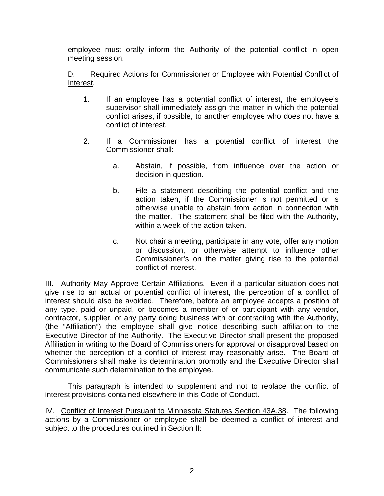employee must orally inform the Authority of the potential conflict in open meeting session.

# D. Required Actions for Commissioner or Employee with Potential Conflict of Interest.

- 1. If an employee has a potential conflict of interest, the employee's supervisor shall immediately assign the matter in which the potential conflict arises, if possible, to another employee who does not have a conflict of interest.
- 2. If a Commissioner has a potential conflict of interest the Commissioner shall:
	- a. Abstain, if possible, from influence over the action or decision in question.
	- b. File a statement describing the potential conflict and the action taken, if the Commissioner is not permitted or is otherwise unable to abstain from action in connection with the matter. The statement shall be filed with the Authority, within a week of the action taken.
	- c. Not chair a meeting, participate in any vote, offer any motion or discussion, or otherwise attempt to influence other Commissioner's on the matter giving rise to the potential conflict of interest.

III. Authority May Approve Certain Affiliations. Even if a particular situation does not give rise to an actual or potential conflict of interest, the perception of a conflict of interest should also be avoided. Therefore, before an employee accepts a position of any type, paid or unpaid, or becomes a member of or participant with any vendor, contractor, supplier, or any party doing business with or contracting with the Authority, (the "Affiliation") the employee shall give notice describing such affiliation to the Executive Director of the Authority. The Executive Director shall present the proposed Affiliation in writing to the Board of Commissioners for approval or disapproval based on whether the perception of a conflict of interest may reasonably arise. The Board of Commissioners shall make its determination promptly and the Executive Director shall communicate such determination to the employee.

This paragraph is intended to supplement and not to replace the conflict of interest provisions contained elsewhere in this Code of Conduct.

IV. Conflict of Interest Pursuant to Minnesota Statutes Section 43A.38. The following actions by a Commissioner or employee shall be deemed a conflict of interest and subject to the procedures outlined in Section II: